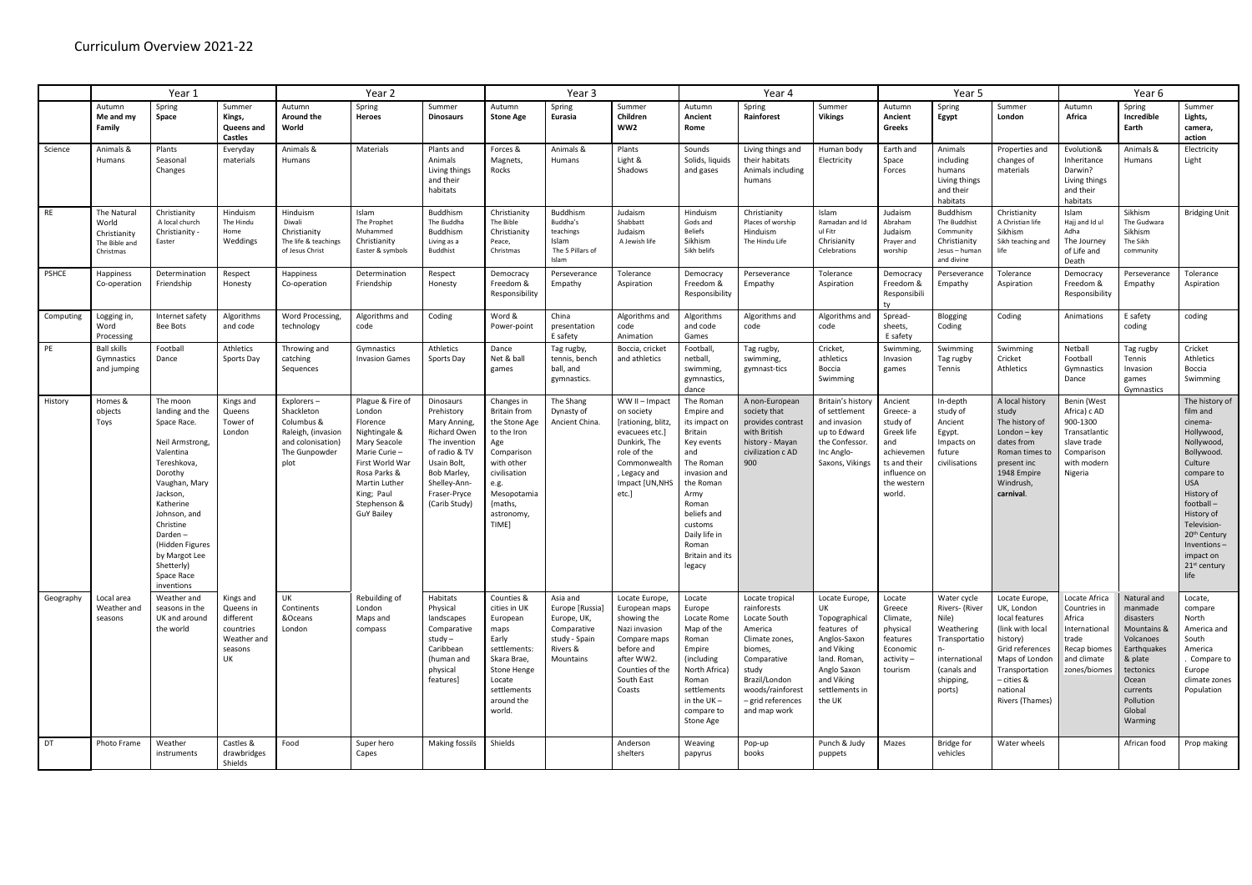|              | Year 1                                                             |                                                                                                                                                                                                                                                                      |                                                                                  | Year <sub>2</sub>                                                                                           |                                                                                                                                                                                                |                                                                                                                                                                                 | Year 3                                                                                                                                                                        |                                                                                                     |                                                                                                                                                                | Year 4                                                                                                                                                                                                                      |                                                                                                                                                                                         |                                                                                                                                                             | Year 5                                                                                                                      |                                                                                                                                    |                                                                                                                                                                                    | Year 6                                                                                                           |                                                                                                                                                               |                                                                                                                                                                                                                                                                              |
|--------------|--------------------------------------------------------------------|----------------------------------------------------------------------------------------------------------------------------------------------------------------------------------------------------------------------------------------------------------------------|----------------------------------------------------------------------------------|-------------------------------------------------------------------------------------------------------------|------------------------------------------------------------------------------------------------------------------------------------------------------------------------------------------------|---------------------------------------------------------------------------------------------------------------------------------------------------------------------------------|-------------------------------------------------------------------------------------------------------------------------------------------------------------------------------|-----------------------------------------------------------------------------------------------------|----------------------------------------------------------------------------------------------------------------------------------------------------------------|-----------------------------------------------------------------------------------------------------------------------------------------------------------------------------------------------------------------------------|-----------------------------------------------------------------------------------------------------------------------------------------------------------------------------------------|-------------------------------------------------------------------------------------------------------------------------------------------------------------|-----------------------------------------------------------------------------------------------------------------------------|------------------------------------------------------------------------------------------------------------------------------------|------------------------------------------------------------------------------------------------------------------------------------------------------------------------------------|------------------------------------------------------------------------------------------------------------------|---------------------------------------------------------------------------------------------------------------------------------------------------------------|------------------------------------------------------------------------------------------------------------------------------------------------------------------------------------------------------------------------------------------------------------------------------|
|              | Autumn<br>Me and my<br>Family                                      | Spring<br>Space                                                                                                                                                                                                                                                      | Summer<br>Kings,<br>Queens and<br><b>Castles</b>                                 | Autumn<br><b>Around the</b><br>World                                                                        | Spring<br>Heroes                                                                                                                                                                               | Summer<br><b>Dinosaurs</b>                                                                                                                                                      | Autumn<br><b>Stone Age</b>                                                                                                                                                    | Spring<br>Eurasia                                                                                   | Summer<br>Children<br>WW2                                                                                                                                      | Autumn<br>Ancient<br>Rome                                                                                                                                                                                                   | Spring<br>Rainforest                                                                                                                                                                    | Summer<br><b>Vikings</b>                                                                                                                                    | Autumn<br>Ancient<br>Greeks                                                                                                 | Spring<br>Egypt                                                                                                                    | Summer<br>London                                                                                                                                                                   | Autumn<br>Africa                                                                                                 | Spring<br>Incredible<br>Earth                                                                                                                                 | Summer<br>Lights,<br>camera,<br>action                                                                                                                                                                                                                                       |
| Science      | Animals &<br>Humans                                                | Plants<br>Seasonal<br>Changes                                                                                                                                                                                                                                        | Everyday<br>materials                                                            | Animals &<br>Humans                                                                                         | Materials                                                                                                                                                                                      | Plants and<br>Animals<br>Living things<br>and their<br>habitats                                                                                                                 | Forces &<br>Magnets,<br>Rocks                                                                                                                                                 | Animals &<br>Humans                                                                                 | Plants<br>Light &<br>Shadows                                                                                                                                   | Sounds<br>Solids, liquids<br>and gases                                                                                                                                                                                      | Living things and<br>their habitats<br>Animals including<br>humans                                                                                                                      | Human body<br>Electricity                                                                                                                                   | Earth and<br>Space<br>Forces                                                                                                | Animals<br>including<br>humans<br>Living things<br>and their<br>habitats                                                           | Properties and<br>changes of<br>materials                                                                                                                                          | Evolution&<br>Inheritance<br>Darwin?<br>Living things<br>and their<br>habitats                                   | Animals &<br>Humans                                                                                                                                           | Electricity<br>Light                                                                                                                                                                                                                                                         |
| RE           | The Natural<br>World<br>Christianity<br>The Bible and<br>Christmas | Christianity<br>A local church<br>Christianity<br>Easter                                                                                                                                                                                                             | Hinduism<br>The Hindu<br>Home<br>Weddings                                        | Hinduism<br>Diwali<br>Christianity<br>The life & teachings<br>of Jesus Christ                               | Islam<br>The Prophet<br>Muhammed<br>Christianity<br>Easter & symbols                                                                                                                           | Buddhism<br>The Buddha<br><b>Buddhism</b><br>Living as a<br><b>Buddhist</b>                                                                                                     | Christianity<br>The Bible<br>Christianity<br>Peace,<br>Christmas                                                                                                              | <b>Buddhism</b><br>Buddha's<br>teachings<br>Islam<br>The 5 Pillars of<br>Islam                      | Judaism<br>Shabbatt<br>Judaism<br>A Jewish life                                                                                                                | Hinduism<br>Gods and<br><b>Beliefs</b><br>Sikhism<br>Sikh belifs                                                                                                                                                            | Christianity<br>Places of worship<br>Hinduism<br>The Hindu Life                                                                                                                         | Islam<br>Ramadan and Id<br>ul Fitr<br>Chrisianity<br>Celebrations                                                                                           | Judaism<br>Abraham<br>Judaism<br>Prayer and<br>worship                                                                      | Buddhism<br>The Buddhist<br>Community<br>Christianity<br>Jesus - human<br>and divine                                               | Christianity<br>A Christian life<br>Sikhism<br>Sikh teaching and<br>life                                                                                                           | Islam<br>Hajj and Id ul<br>Adha<br>The Journey<br>of Life and<br>Death                                           | Sikhism<br>The Gudwara<br>Sikhism<br>The Sikh<br>community                                                                                                    | <b>Bridging Unit</b>                                                                                                                                                                                                                                                         |
| <b>PSHCE</b> | <b>Happiness</b><br>Co-operation                                   | Determination<br>Friendship                                                                                                                                                                                                                                          | Respect<br>Honesty                                                               | <b>Happiness</b><br>Co-operation                                                                            | Determination<br>Friendship                                                                                                                                                                    | Respect<br>Honesty                                                                                                                                                              | Democracy<br>Freedom &<br>Responsibility                                                                                                                                      | Perseverance<br>Empathy                                                                             | Tolerance<br>Aspiration                                                                                                                                        | Democracy<br>Freedom &<br>Responsibility                                                                                                                                                                                    | Perseverance<br>Empathy                                                                                                                                                                 | Tolerance<br>Aspiration                                                                                                                                     | Democracy<br>Freedom &<br>Responsibili                                                                                      | Perseverance<br>Empathy                                                                                                            | Tolerance<br>Aspiration                                                                                                                                                            | Democracy<br>Freedom &<br>Responsibility                                                                         | Perseverance<br>Empathy                                                                                                                                       | Tolerance<br>Aspiration                                                                                                                                                                                                                                                      |
| Computing    | Logging in,<br>Word<br>Processing                                  | Internet safety<br>Bee Bots                                                                                                                                                                                                                                          | Algorithms<br>and code                                                           | Word Processing,<br>technology                                                                              | Algorithms and<br>code                                                                                                                                                                         | Coding                                                                                                                                                                          | Word &<br>Power-point                                                                                                                                                         | China<br>presentation<br>E safety                                                                   | Algorithms and<br>code<br>Animation                                                                                                                            | Algorithms<br>and code<br>Games                                                                                                                                                                                             | Algorithms and<br>code                                                                                                                                                                  | Algorithms and<br>code                                                                                                                                      | Spread-<br>sheets,<br>E safety                                                                                              | Blogging<br>Coding                                                                                                                 | Coding                                                                                                                                                                             | Animations                                                                                                       | E safety<br>coding                                                                                                                                            | coding                                                                                                                                                                                                                                                                       |
| PE           | <b>Ball skills</b><br>Gymnastics<br>and jumping                    | Football<br>Dance                                                                                                                                                                                                                                                    | <b>Athletics</b><br>Sports Day                                                   | Throwing and<br>catching<br>Sequences                                                                       | Gymnastics<br><b>Invasion Games</b>                                                                                                                                                            | Athletics<br>Sports Day                                                                                                                                                         | Dance<br>Net & ball<br>games                                                                                                                                                  | Tag rugby,<br>tennis, bench<br>ball, and<br>gymnastics.                                             | Boccia, cricket<br>and athletics                                                                                                                               | Football,<br>netball,<br>swimming,<br>gymnastics,<br>dance                                                                                                                                                                  | Tag rugby,<br>swimming,<br>gymnast-tics                                                                                                                                                 | Cricket,<br>athletics<br>Boccia<br>Swimming                                                                                                                 | Swimming<br>Invasion<br>games                                                                                               | Swimming<br>Tag rugby<br>Tennis                                                                                                    | Swimming<br>Cricket<br>Athletics                                                                                                                                                   | Netball<br>Football<br>Gymnastics<br>Dance                                                                       | Tag rugby<br>Tennis<br>Invasion<br>games<br>Gymnastics                                                                                                        | Cricket<br>Athletics<br>Boccia<br>Swimming                                                                                                                                                                                                                                   |
| History      | Homes &<br>objects<br>Toys                                         | The moon<br>landing and the<br>Space Race.<br>Neil Armstrong,<br>Valentina<br>Tereshkova,<br>Dorothy<br>Vaughan, Mary<br>Jackson,<br>Katherine<br>Johnson, and<br>Christine<br>Darden-<br>(Hidden Figures<br>by Margot Lee<br>Shetterly)<br>Space Race<br>inventions | Kings and<br>Queens<br>Tower of<br>London                                        | Explorers –<br>Shackleton<br>Columbus &<br>Raleigh, (invasion<br>and colonisation)<br>The Gunpowder<br>plot | Plague & Fire of<br>London<br>Florence<br>Nightingale &<br>Mary Seacole<br>Marie Curie-<br>First World War<br>Rosa Parks &<br>Martin Luther<br>King; Paul<br>Stephenson &<br><b>GuY Bailey</b> | Dinosaurs<br>Prehistory<br>Mary Anning,<br><b>Richard Owen</b><br>The invention<br>of radio & TV<br>Usain Bolt,<br>Bob Marley,<br>Shelley-Ann-<br>Fraser-Pryce<br>(Carib Study) | Changes in<br><b>Britain from</b><br>the Stone Age<br>to the Iron<br>Age<br>Comparison<br>with other<br>civilisation<br>e.g.<br>Mesopotamia<br>{maths,<br>astronomy,<br>TIME] | The Shang<br>Dynasty of<br>Ancient China.                                                           | WW II - Impact<br>on society<br>[rationing, blitz,<br>evacuees etc.]<br>Dunkirk, The<br>role of the<br>Commonwealt<br>, Legacy and<br>Impact [UN, NHS<br>etc.] | The Roman<br>Empire and<br>its impact on<br><b>Britain</b><br>Key events<br>and<br>The Roman<br>invasion and<br>the Roman<br>Army<br>Roman<br>beliefs and<br>customs<br>Daily life in<br>Roman<br>Britain and its<br>legacy | A non-European<br>society that<br>provides contrast<br>with British<br>history - Mayan<br>civilization c AD<br>900                                                                      | Britain's history<br>of settlement<br>and invasion<br>up to Edward<br>the Confessor.<br>Inc Anglo-<br>Saxons, Vikings                                       | Ancient<br>Greece-a<br>study of<br>Greek life<br>and<br>achievemen<br>ts and their<br>influence on<br>the western<br>world. | In-depth<br>study of<br>Ancient<br>Egypt.<br>Impacts on<br>future<br>civilisations                                                 | A local history<br>study<br>The history of<br>$London - key$<br>dates from<br>Roman times t<br>present inc<br>1948 Empire<br>Windrush,<br>carnival.                                | Benin (West<br>Africa) c AD<br>900-1300<br>Transatlantic<br>slave trade<br>Comparison<br>with modern<br>Nigeria  |                                                                                                                                                               | The history of<br>film and<br>cinema-<br>Hollywood<br>Nollywood,<br>Bollywood.<br>Culture<br>compare to<br><b>USA</b><br>History of<br>football-<br>History of<br>Television-<br>20 <sup>th</sup> Century<br>$Inventions -$<br>impact on<br>21 <sup>st</sup> century<br>life |
| Geography    | Local area<br>Weather and<br>seasons                               | Weather and<br>seasons in the<br>UK and around<br>the world                                                                                                                                                                                                          | Kings and<br>Queens in<br>different<br>countries<br>Weather and<br>seasons<br>UK | UK<br>Continents<br>&Oceans<br>London                                                                       | Rebuilding of<br>London<br>Maps and<br>compass                                                                                                                                                 | Habitats<br>Physical<br>landscapes<br>Comparative<br>$study -$<br>Caribbean<br>(human and<br>physical<br>features]                                                              | Counties &<br>cities in UK<br>European<br>maps<br>Early<br>settlements:<br>Skara Brae,<br>Stone Henge<br>Locate<br>settlements<br>around the<br>world.                        | Asia and<br>Europe [Russia]<br>Europe, UK,<br>Comparative<br>study - Spain<br>Rivers &<br>Mountains | Locate Europe,<br>European maps<br>showing the<br>Nazi invasion<br>Compare maps<br>before and<br>after WW2.<br>Counties of the<br>South East<br>Coasts         | Locate<br>Europe<br>Locate Rome<br>Map of the<br>Roman<br>Empire<br>(including<br>North Africa)<br>Roman<br>settlements<br>in the $UK -$<br>compare to<br>Stone Age                                                         | Locate tropical<br>rainforests<br>Locate South<br>America<br>Climate zones<br>biomes,<br>Comparative<br>study<br>Brazil/London<br>woods/rainforest<br>- grid references<br>and map work | Locate Europe,<br>UK<br>Topographical<br>features of<br>Anglos-Saxon<br>and Viking<br>land. Roman,<br>Anglo Saxon<br>and Viking<br>settlements in<br>the UK | Locate<br>Greece<br>Climate,<br>physical<br>features<br>Economic<br>activity-<br>tourism                                    | Water cycle<br>Rivers- (River<br>Nile)<br>Weathering<br>Transportatio<br>n-<br>international<br>(canals and<br>shipping,<br>ports) | Locate Europe,<br>UK, London<br>local features<br>(link with local<br>history)<br>Grid references<br>Maps of London<br>Transportation<br>– cities &<br>national<br>Rivers (Thames) | Locate Africa<br>Countries in<br>Africa<br>International<br>trade<br>Recap biomes<br>and climate<br>zones/biomes | Natural and<br>manmade<br>disasters<br>Mountains &<br>Volcanoes<br>Earthquakes<br>& plate<br>tectonics<br>Ocean<br>currents<br>Pollution<br>Global<br>Warming | Locate,<br>compare<br>North<br>America and<br>South<br>America<br>Compare to<br>Europe<br>climate zones<br>Population                                                                                                                                                        |
| DT           | Photo Frame                                                        | Weather<br>instruments                                                                                                                                                                                                                                               | Castles &<br>drawbridges<br>Shields                                              | Food                                                                                                        | Super hero<br>Capes                                                                                                                                                                            | <b>Making fossils</b>                                                                                                                                                           | Shields                                                                                                                                                                       |                                                                                                     | Anderson<br>shelters                                                                                                                                           | Weaving<br>papyrus                                                                                                                                                                                                          | Pop-up<br>books                                                                                                                                                                         | Punch & Judy<br>puppets                                                                                                                                     | Mazes                                                                                                                       | <b>Bridge for</b><br>vehicles                                                                                                      | Water wheels                                                                                                                                                                       |                                                                                                                  | African food                                                                                                                                                  | Prop making                                                                                                                                                                                                                                                                  |